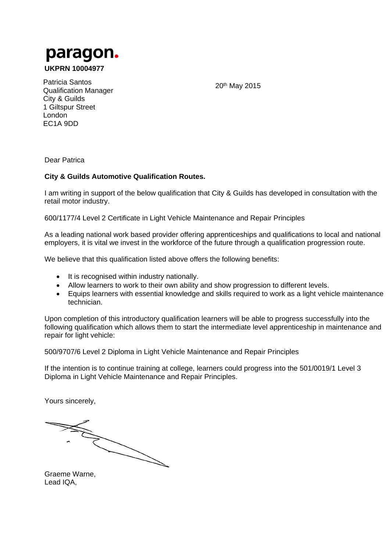

**UKPRN 10004977** 

20th May 2015

Patricia Santos Qualification Manager City & Guilds 1 Giltspur Street London EC1A 9DD

Dear Patrica

## **City & Guilds Automotive Qualification Routes.**

I am writing in support of the below qualification that City & Guilds has developed in consultation with the retail motor industry.

600/1177/4 Level 2 Certificate in Light Vehicle Maintenance and Repair Principles

As a leading national work based provider offering apprenticeships and qualifications to local and national employers, it is vital we invest in the workforce of the future through a qualification progression route.

We believe that this qualification listed above offers the following benefits:

- It is recognised within industry nationally.
- Allow learners to work to their own ability and show progression to different levels.
- Equips learners with essential knowledge and skills required to work as a light vehicle maintenance technician.

Upon completion of this introductory qualification learners will be able to progress successfully into the following qualification which allows them to start the intermediate level apprenticeship in maintenance and repair for light vehicle:

500/9707/6 Level 2 Diploma in Light Vehicle Maintenance and Repair Principles

If the intention is to continue training at college, learners could progress into the 501/0019/1 Level 3 Diploma in Light Vehicle Maintenance and Repair Principles.

Yours sincerely,

 $\diagdown$ 

Graeme Warne, Lead IQA,